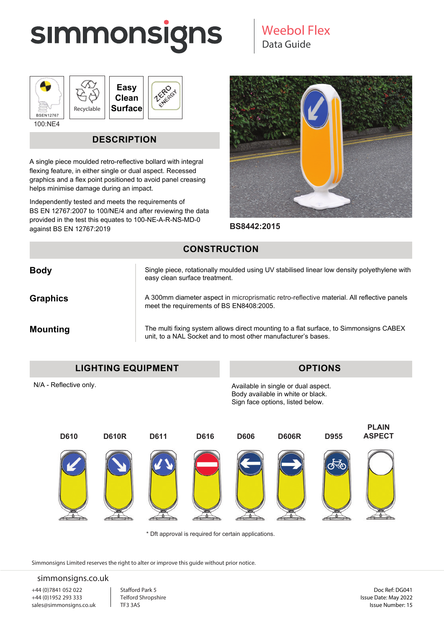## **SIMMONSIGNS**

## Data Guide Weebol Flex







ZERO **IERO** 

100:NE4

## **DESCRIPTION**

A single piece moulded retro-reflective bollard with integral flexing feature, in either single or dual aspect. Recessed graphics and a flex point positioned to avoid panel creasing helps minimise damage during an impact.

Independently tested and meets the requirements of BS EN 12767:2007 to 100/NE/4 and after reviewing the data provided in the test this equates to 100-NE-A-R-NS-MD-0 against BS EN 12767:2019



**BS8442:2015**

### **CONSTRUCTION**

| <b>Body</b>     | Single piece, rotationally moulded using UV stabilised linear low density polyethylene with<br>easy clean surface treatment.                            |
|-----------------|---------------------------------------------------------------------------------------------------------------------------------------------------------|
| <b>Graphics</b> | A 300mm diameter aspect in microprismatic retro-reflective material. All reflective panels<br>meet the requirements of BS EN8408:2005.                  |
| <b>Mounting</b> | The multi fixing system allows direct mounting to a flat surface, to Simmonsigns CABEX<br>unit, to a NAL Socket and to most other manufacturer's bases. |

N/A - Reflective only.

**OPTIONS**

Available in single or dual aspect. Body available in white or black. Sign face options, listed below.



\* Dft approval is required for certain applications.

Simmonsigns Limited reserves the right to alter or improve this guide without prior notice.

#### simmonsigns.co.uk

+44 (0)7841 052 022 +44 (0)1952 293 333 sales@simmonsigns.co.uk

Stafford Park 5 Telford Shropshire TF3 3AS

Doc Ref: DG041 Issue Date: May 2022 Issue Number: 15